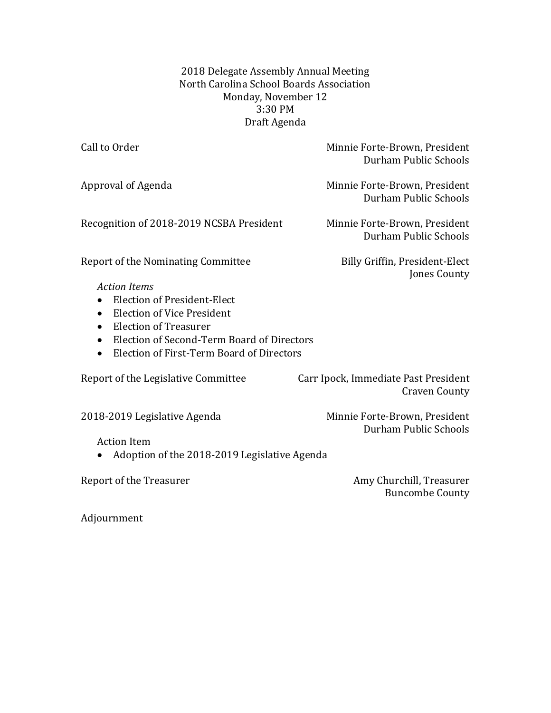2018 Delegate Assembly Annual Meeting North Carolina School Boards Association Monday, November 12 3:30 PM Draft Agenda

| Call to Order                                           | Minnie Forte-Brown, President<br>Durham Public Schools       |
|---------------------------------------------------------|--------------------------------------------------------------|
| Approval of Agenda                                      | Minnie Forte-Brown, President<br>Durham Public Schools       |
| Recognition of 2018-2019 NCSBA President                | Minnie Forte-Brown, President<br>Durham Public Schools       |
| Report of the Nominating Committee                      | Billy Griffin, President-Elect<br>Jones County               |
| <b>Action Items</b>                                     |                                                              |
| <b>Election of President-Elect</b><br>$\bullet$         |                                                              |
| <b>Election of Vice President</b><br>$\bullet$          |                                                              |
| <b>Election of Treasurer</b><br>$\bullet$               |                                                              |
| Election of Second-Term Board of Directors<br>$\bullet$ |                                                              |
| Election of First-Term Board of Directors<br>$\bullet$  |                                                              |
| Report of the Legislative Committee                     | Carr Ipock, Immediate Past President<br><b>Craven County</b> |
| 2018-2019 Legislative Agenda                            | Minnie Forte-Brown, President<br>Durham Public Schools       |
| <b>Action Item</b>                                      |                                                              |
| Adoption of the 2018-2019 Legislative Agenda            |                                                              |
| <b>Report of the Treasurer</b>                          | Amy Churchill, Treasurer<br><b>Buncombe County</b>           |

Adjournment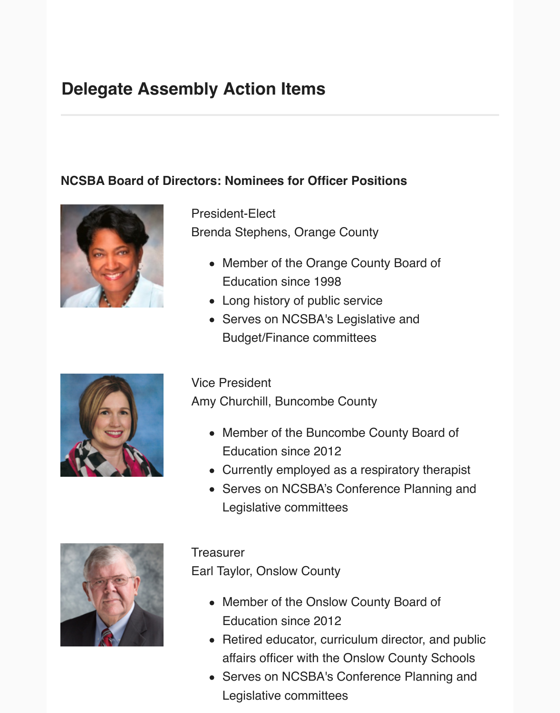# **Delegate Assembly Action Items**

### **NCSBA Board of Directors: Nominees for Officer Positions**



President-Elect Brenda Stephens, Orange County

- Member of the Orange County Board of Education since 1998
- Long history of public service
- Serves on NCSBA's Legislative and Budget/Finance committees



Vice President

Amy Churchill, Buncombe County

- Member of the Buncombe County Board of Education since 2012
- Currently employed as a respiratory therapist
- Serves on NCSBA's Conference Planning and Legislative committees



**Treasurer** 

Earl Taylor, Onslow County

- Member of the Onslow County Board of Education since 2012
- Retired educator, curriculum director, and public affairs officer with the Onslow County Schools
- Serves on NCSBA's Conference Planning and Legislative committees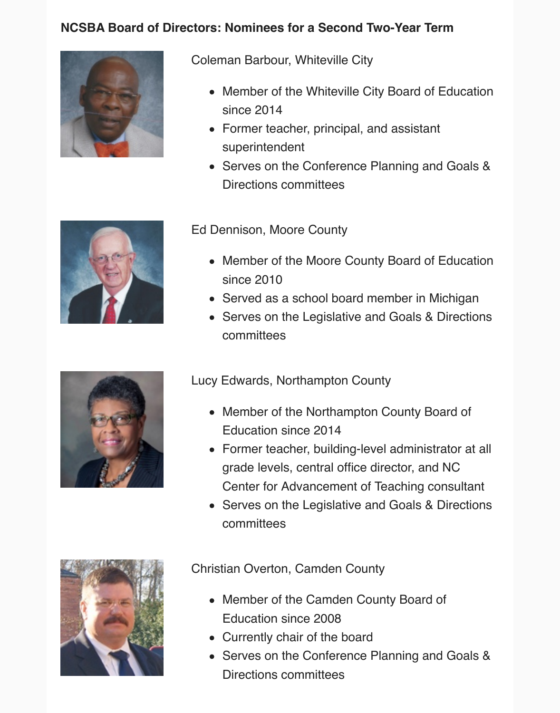### **NCSBA Board of Directors: Nominees for a Second Two-Year Term**



Coleman Barbour, Whiteville City

- Member of the Whiteville City Board of Education since 2014
- Former teacher, principal, and assistant superintendent
- Serves on the Conference Planning and Goals & Directions committees



Ed Dennison, Moore County

- Member of the Moore County Board of Education since 2010
- Served as a school board member in Michigan
- Serves on the Legislative and Goals & Directions committees

Lucy Edwards, Northampton County

- Member of the Northampton County Board of Education since 2014
- Former teacher, building-level administrator at all grade levels, central office director, and NC Center for Advancement of Teaching consultant
- Serves on the Legislative and Goals & Directions committees



Christian Overton, Camden County

- Member of the Camden County Board of Education since 2008
- Currently chair of the board
- Serves on the Conference Planning and Goals & Directions committees

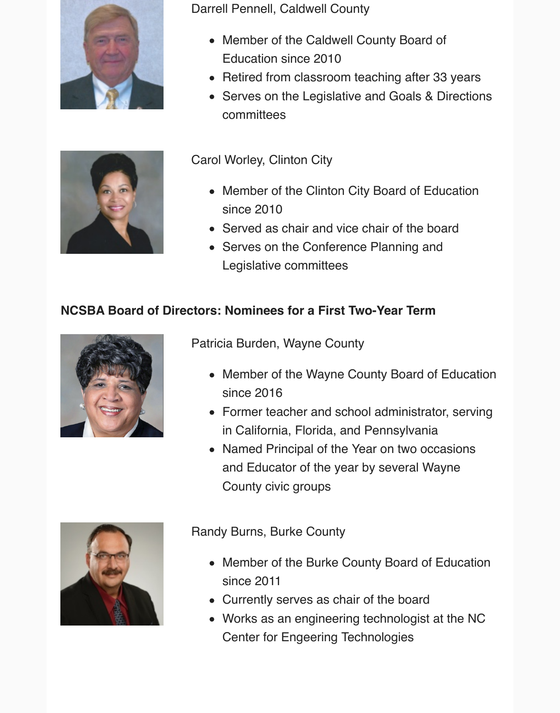

Darrell Pennell, Caldwell County

- Member of the Caldwell County Board of Education since 2010
- Retired from classroom teaching after 33 years
- Serves on the Legislative and Goals & Directions committees

Carol Worley, Clinton City

- Member of the Clinton City Board of Education since 2010
- Served as chair and vice chair of the board
- Serves on the Conference Planning and Legislative committees

### **NCSBA Board of Directors: Nominees for a First Two-Year Term**



Patricia Burden, Wayne County

- Member of the Wayne County Board of Education since 2016
- Former teacher and school administrator, serving in California, Florida, and Pennsylvania
- Named Principal of the Year on two occasions and Educator of the year by several Wayne County civic groups



Randy Burns, Burke County

- Member of the Burke County Board of Education since 2011
- Currently serves as chair of the board
- Works as an engineering technologist at the NC Center for Engeering Technologies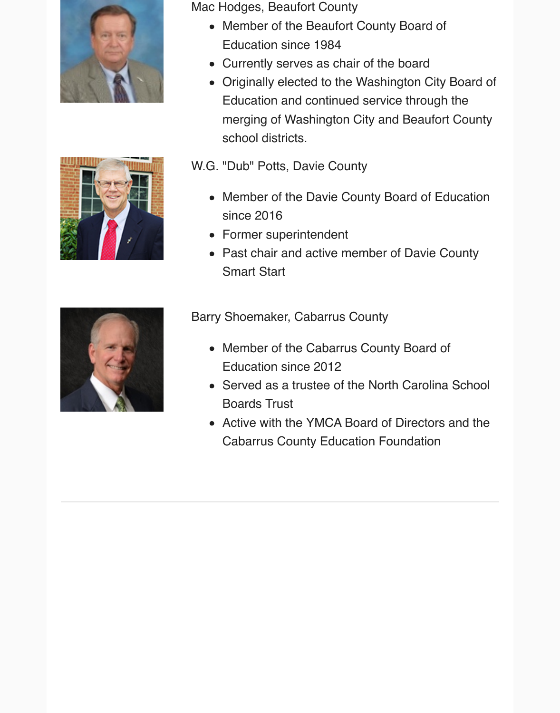



Mac Hodges, Beaufort County

- Member of the Beaufort County Board of Education since 1984
- Currently serves as chair of the board
- Originally elected to the Washington City Board of Education and continued service through the merging of Washington City and Beaufort County school districts.

W.G. "Dub" Potts, Davie County

- Member of the Davie County Board of Education since 2016
- Former superintendent
- Past chair and active member of Davie County Smart Start



Barry Shoemaker, Cabarrus County

- Member of the Cabarrus County Board of Education since 2012
- Served as a trustee of the North Carolina School Boards Trust
- Active with the YMCA Board of Directors and the Cabarrus County Education Foundation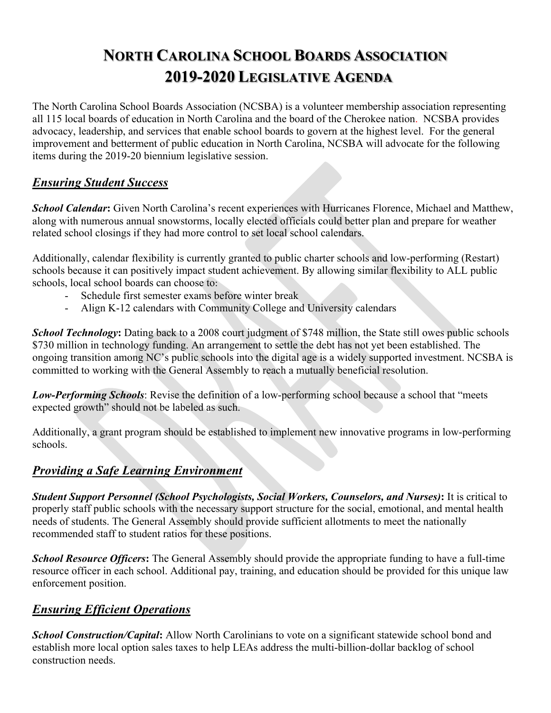## **NORTH CAROLINA SCHOOL BOARDS ASSOCIATION 2019-2020 LEGISLATIVE AGENDA**

The North Carolina School Boards Association (NCSBA) is a volunteer membership association representing all 115 local boards of education in North Carolina and the board of the Cherokee nation. NCSBA provides advocacy, leadership, and services that enable school boards to govern at the highest level. For the general improvement and betterment of public education in North Carolina, NCSBA will advocate for the following items during the 2019-20 biennium legislative session.

#### *Ensuring Student Success*

*School Calendar***:** Given North Carolina's recent experiences with Hurricanes Florence, Michael and Matthew, along with numerous annual snowstorms, locally elected officials could better plan and prepare for weather related school closings if they had more control to set local school calendars.

Additionally, calendar flexibility is currently granted to public charter schools and low-performing (Restart) schools because it can positively impact student achievement. By allowing similar flexibility to ALL public schools, local school boards can choose to:

- Schedule first semester exams before winter break
- Align K-12 calendars with Community College and University calendars

**School Technology:** Dating back to a 2008 court judgment of \$748 million, the State still owes public schools \$730 million in technology funding. An arrangement to settle the debt has not yet been established. The ongoing transition among NC's public schools into the digital age is a widely supported investment. NCSBA is committed to working with the General Assembly to reach a mutually beneficial resolution.

*Low-Performing Schools*: Revise the definition of a low-performing school because a school that "meets expected growth" should not be labeled as such.

Additionally, a grant program should be established to implement new innovative programs in low-performing schools.

#### *Providing a Safe Learning Environment*

*Student Support Personnel (School Psychologists, Social Workers, Counselors, and Nurses)***:** It is critical to properly staff public schools with the necessary support structure for the social, emotional, and mental health needs of students. The General Assembly should provide sufficient allotments to meet the nationally recommended staff to student ratios for these positions.

*School Resource Officers***:** The General Assembly should provide the appropriate funding to have a full-time resource officer in each school. Additional pay, training, and education should be provided for this unique law enforcement position.

#### *Ensuring Efficient Operations*

*School Construction/Capital***:** Allow North Carolinians to vote on a significant statewide school bond and establish more local option sales taxes to help LEAs address the multi-billion-dollar backlog of school construction needs.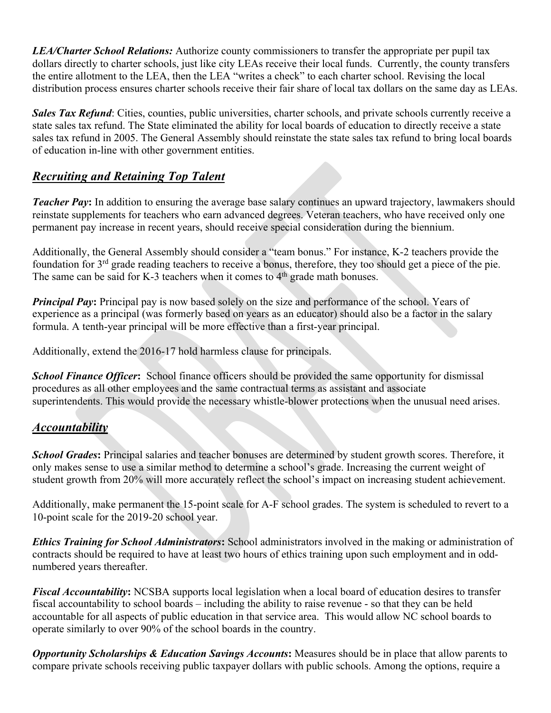*LEA/Charter School Relations:* Authorize county commissioners to transfer the appropriate per pupil tax dollars directly to charter schools, just like city LEAs receive their local funds. Currently, the county transfers the entire allotment to the LEA, then the LEA "writes a check" to each charter school. Revising the local distribution process ensures charter schools receive their fair share of local tax dollars on the same day as LEAs.

*Sales Tax Refund*: Cities, counties, public universities, charter schools, and private schools currently receive a state sales tax refund. The State eliminated the ability for local boards of education to directly receive a state sales tax refund in 2005. The General Assembly should reinstate the state sales tax refund to bring local boards of education in-line with other government entities.

#### *Recruiting and Retaining Top Talent*

*Teacher Pay*: In addition to ensuring the average base salary continues an upward trajectory, lawmakers should reinstate supplements for teachers who earn advanced degrees. Veteran teachers, who have received only one permanent pay increase in recent years, should receive special consideration during the biennium.

Additionally, the General Assembly should consider a "team bonus." For instance, K-2 teachers provide the foundation for 3<sup>rd</sup> grade reading teachers to receive a bonus, therefore, they too should get a piece of the pie. The same can be said for K-3 teachers when it comes to  $4<sup>th</sup>$  grade math bonuses.

*Principal Pay*: Principal pay is now based solely on the size and performance of the school. Years of experience as a principal (was formerly based on years as an educator) should also be a factor in the salary formula. A tenth-year principal will be more effective than a first-year principal.

Additionally, extend the 2016-17 hold harmless clause for principals.

*School Finance Officer***:** School finance officers should be provided the same opportunity for dismissal procedures as all other employees and the same contractual terms as assistant and associate superintendents. This would provide the necessary whistle-blower protections when the unusual need arises.

#### *Accountability*

**School Grades:** Principal salaries and teacher bonuses are determined by student growth scores. Therefore, it only makes sense to use a similar method to determine a school's grade. Increasing the current weight of student growth from 20% will more accurately reflect the school's impact on increasing student achievement.

Additionally, make permanent the 15-point scale for A-F school grades. The system is scheduled to revert to a 10-point scale for the 2019-20 school year.

*Ethics Training for School Administrators***:** School administrators involved in the making or administration of contracts should be required to have at least two hours of ethics training upon such employment and in oddnumbered years thereafter.

*Fiscal Accountability***:** NCSBA supports local legislation when a local board of education desires to transfer fiscal accountability to school boards – including the ability to raise revenue - so that they can be held accountable for all aspects of public education in that service area. This would allow NC school boards to operate similarly to over 90% of the school boards in the country.

*Opportunity Scholarships & Education Savings Accounts*: Measures should be in place that allow parents to compare private schools receiving public taxpayer dollars with public schools. Among the options, require a